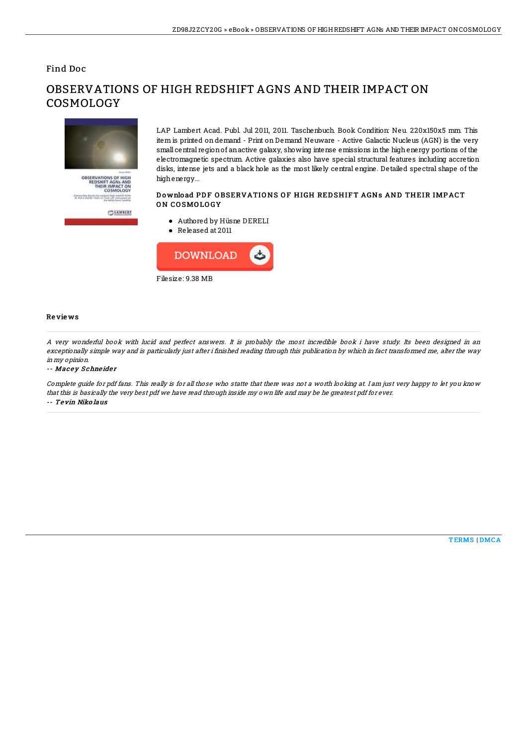### Find Doc



# OBSERVATIONS OF HIGH REDSHIFT AGNS AND THEIR IMPACT ON COSMOLOGY

LAP Lambert Acad. Publ. Jul 2011, 2011. Taschenbuch. Book Condition: Neu. 220x150x5 mm. This item is printed on demand - Print on Demand Neuware - Active Galactic Nucleus (AGN) is the very small central regionof anactive galaxy, showing intense emissions inthe highenergy portions of the electromagnetic spectrum. Active galaxies also have special structural features including accretion disks, intense jets and a black hole as the most likely central engine. Detailed spectral shape of the highenergy...

#### Download PDF OBSERVATIONS OF HIGH REDSHIFT AGNS AND THEIR IMPACT ON COSMOLOGY

- Authored by Hüsne DERELI
- Released at 2011



#### Re vie ws

A very wonderful book with lucid and perfect answers. It is probably the most incredible book i have study. Its been designed in an exceptionally simple way and is particularly just after i finished reading through this publication by which in fact transformed me, alter the way in my opinion.

-- Macey Schneider

Complete guide for pdf fans. This really is for all those who statte that there was not <sup>a</sup> worth looking at. I am just very happy to let you know that this is basically the very best pdf we have read through inside my own life and may be he greatest pdf for ever. -- Te vin Niko laus